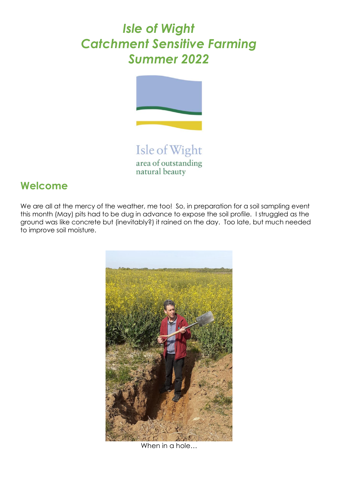# *Isle of Wight Catchment Sensitive Farming Summer 2022*



Isle of Wight area of outstanding natural beauty

# **Welcome**

We are all at the mercy of the weather, me too! So, in preparation for a soil sampling event this month (May) pits had to be dug in advance to expose the soil profile. I struggled as the ground was like concrete but (inevitably?) it rained on the day. Too late, but much needed to improve soil moisture.



When in a hole…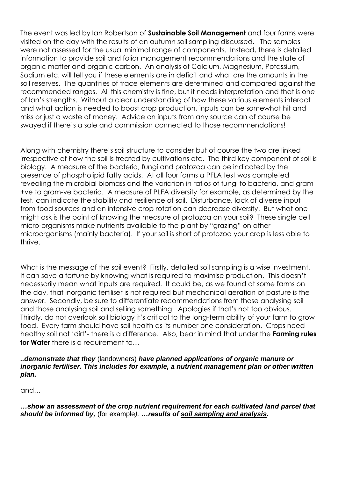The event was led by Ian Robertson of **Sustainable Soil Management** and four farms were visited on the day with the results of an autumn soil sampling discussed. The samples were not assessed for the usual minimal range of components. Instead, there is detailed information to provide soil and foliar management recommendations and the state of organic matter and organic carbon. An analysis of Calcium, Magnesium, Potassium, Sodium etc. will tell you if these elements are in deficit and what are the amounts in the soil reserves. The quantities of trace elements are determined and compared against the recommended ranges. All this chemistry is fine, but it needs interpretation and that is one of Ian's strengths. Without a clear understanding of how these various elements interact and what action is needed to boost crop production, inputs can be somewhat hit and miss or just a waste of money. Advice on inputs from any source can of course be swayed if there's a sale and commission connected to those recommendations!

Along with chemistry there's soil structure to consider but of course the two are linked irrespective of how the soil Is treated by cultivations etc. The third key component of soil is biology. A measure of the bacteria, fungi and protozoa can be indicated by the presence of phospholipid fatty acids. At all four farms a PFLA test was completed revealing the microbial biomass and the variation in ratios of fungi to bacteria, and gram +ve to gram-ve bacteria. A measure of PLFA diversity for example, as determined by the test, can indicate the stability and resilience of soil. Disturbance, lack of diverse input from food sources and an intensive crop rotation can decrease diversity. But what one might ask is the point of knowing the measure of protozoa on your soil? These single cell micro-organisms make nutrients available to the plant by "grazing" on other microorganisms (mainly bacteria). If your soil is short of protozoa your crop is less able to thrive.

What is the message of the soil event? Firstly, detailed soil sampling is a wise investment. It can save a fortune by knowing what is required to maximise production. This doesn't necessarily mean what inputs are required. It could be, as we found at some farms on the day, that inorganic fertiliser is not required but mechanical aeration of pasture is the answer. Secondly, be sure to differentiate recommendations from those analysing soil and those analysing soil and selling something. Apologies if that's not too obvious. Thirdly, do not overlook soil biology it's critical to the long-term ability of your farm to grow food. Every farm should have soil health as its number one consideration. Crops need healthy soil not 'dirt'- there is a difference. Also, bear in mind that under the **Farming rules for Water** there is a requirement to...

#### *..demonstrate that they* (landowners) *have planned applications of organic manure or inorganic fertiliser. This includes for example, a nutrient management plan or other written plan.*

and…

*…show an assessment of the crop nutrient requirement for each cultivated land parcel that should be informed by,* (for example*), …results of soil sampling and analysis.*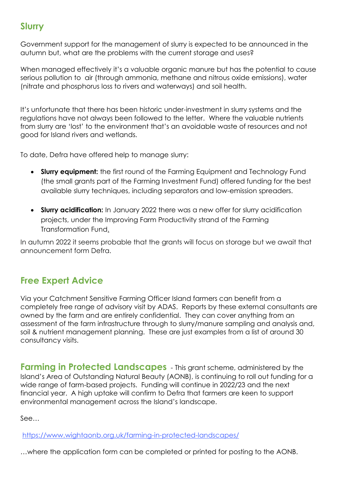### **Slurry**

Government support for the management of slurry is expected to be announced in the autumn but, what are the problems with the current storage and uses?

When managed effectively it's a valuable organic manure but has the potential to cause serious pollution to air (through ammonia, methane and nitrous oxide emissions), water (nitrate and phosphorus loss to rivers and waterways) and soil health.

It's unfortunate that there has been historic under-investment in slurry systems and the regulations have not always been followed to the letter. Where the valuable nutrients from slurry are 'lost' to the environment that's an avoidable waste of resources and not good for Island rivers and wetlands.

To date, Defra have offered help to manage slurry:

- **Slurry equipment:** the first round of the [Farming Equipment and Technology Fund](https://www.gov.uk/guidance/farming-investment-fund#farming-equipment-and-technology-fund) (the small grants part of the Farming Investment Fund) offered funding for the best available slurry techniques, including separators and low-emission spreaders.
- **Slurry acidification:** In January 2022 there was a new offer for slurry acidification projects, under the [Improving Farm Productivity strand of the Farming](https://www.gov.uk/guidance/farming-transformation-fund-improving-farm-productivity-grant)  [Transformation Fund.](https://www.gov.uk/guidance/farming-transformation-fund-improving-farm-productivity-grant)

In autumn 2022 it seems probable that the grants will focus on storage but we await that announcement form Defra.

## **Free Expert Advice**

Via your Catchment Sensitive Farming Officer Island farmers can benefit from a completely free range of advisory visit by ADAS. Reports by these external consultants are owned by the farm and are entirely confidential. They can cover anything from an assessment of the farm infrastructure through to slurry/manure sampling and analysis and, soil & nutrient management planning. These are just examples from a list of around 30 consultancy visits.

**Farming in Protected Landscapes** - This grant scheme, administered by the Island's Area of Outstanding Natural Beauty (AONB), is continuing to roll out funding for a wide range of farm-based projects. Funding will continue in 2022/23 and the next financial year. A high uptake will confirm to Defra that farmers are keen to support environmental management across the Island's landscape.

See…

<https://www.wightaonb.org.uk/farming-in-protected-landscapes/>

…where the application form can be completed or printed for posting to the AONB.